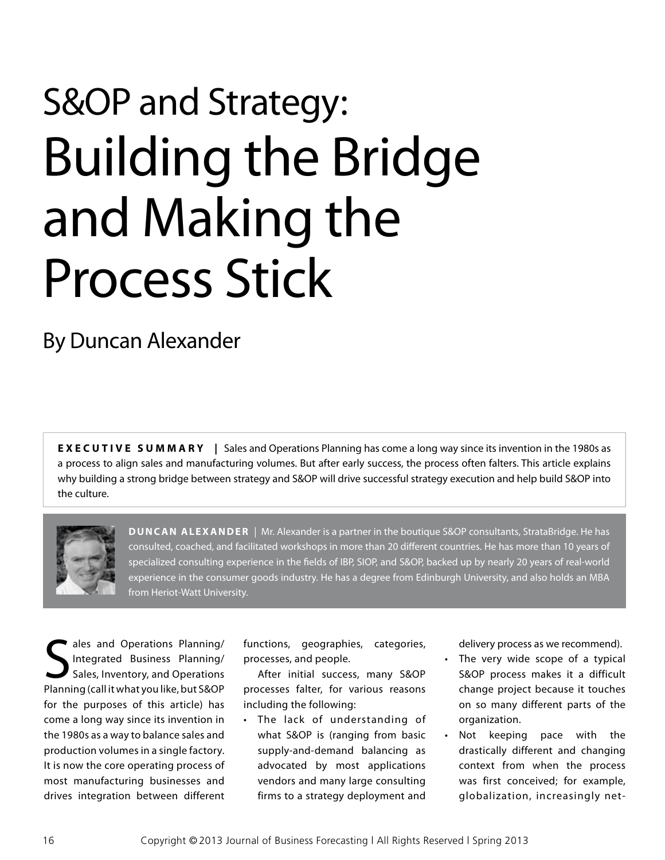## S&OP and Strategy: Building the Bridge and Making the Process Stick

By Duncan Alexander

**EXECUTIVE SUMMARY** | Sales and Operations Planning has come a long way since its invention in the 1980s as a process to align sales and manufacturing volumes. But after early success, the process often falters. This article explains why building a strong bridge between strategy and S&OP will drive successful strategy execution and help build S&OP into the culture.



**Duncan Alexander** | Mr. Alexander is a partner in the boutique S&OP consultants, StrataBridge. He has consulted, coached, and facilitated workshops in more than 20 different countries. He has more than 10 years of specialized consulting experience in the fields of IBP, SIOP, and S&OP, backed up by nearly 20 years of real-world experience in the consumer goods industry. He has a degree from Edinburgh University, and also holds an MBA from Heriot-Watt University.

S ales and Operations Planning/ Integrated Business Planning/ Sales, Inventory, and Operations Planning (call it what you like, but S&OP for the purposes of this article) has come a long way since its invention in the 1980s as a way to balance sales and production volumes in a single factory. It is now the core operating process of most manufacturing businesses and drives integration between different

functions, geographies, categories, processes, and people.

After initial success, many S&OP processes falter, for various reasons including the following:

• The lack of understanding of what S&OP is (ranging from basic supply-and-demand balancing as advocated by most applications vendors and many large consulting firms to a strategy deployment and

delivery process as we recommend).

- The very wide scope of a typical S&OP process makes it a difficult change project because it touches on so many different parts of the organization.
- • Not keeping pace with the drastically different and changing context from when the process was first conceived; for example, globalization, increasingly net-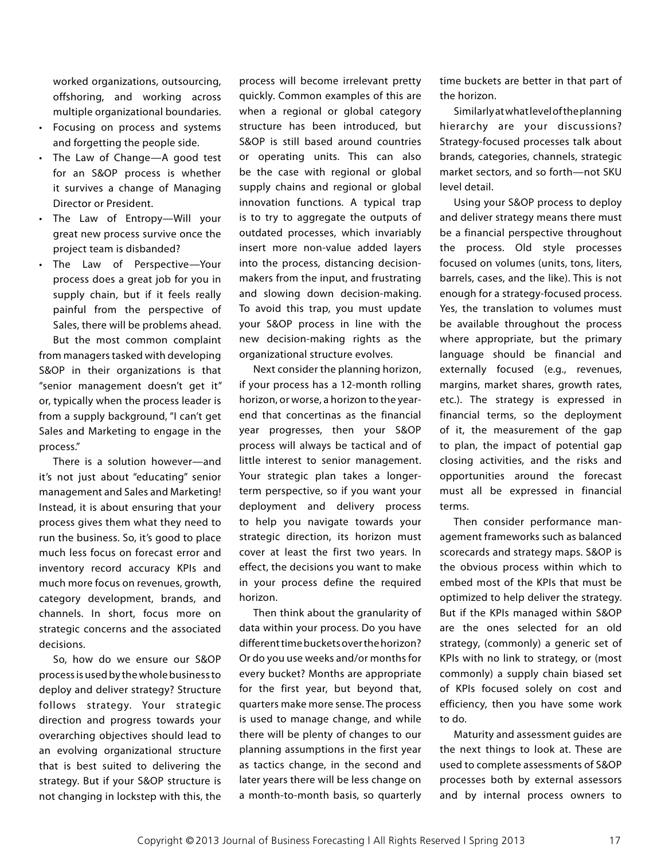worked organizations, outsourcing, offshoring, and working across multiple organizational boundaries.

- • Focusing on process and systems and forgetting the people side.
- The Law of Change—A good test for an S&OP process is whether it survives a change of Managing Director or President.
- The Law of Entropy-Will your great new process survive once the project team is disbanded?
- • The Law of Perspective—Your process does a great job for you in supply chain, but if it feels really painful from the perspective of Sales, there will be problems ahead. But the most common complaint

from managers tasked with developing S&OP in their organizations is that "senior management doesn't get it" or, typically when the process leader is from a supply background, "I can't get Sales and Marketing to engage in the process."

There is a solution however—and it's not just about "educating" senior management and Sales and Marketing! Instead, it is about ensuring that your process gives them what they need to run the business. So, it's good to place much less focus on forecast error and inventory record accuracy KPIs and much more focus on revenues, growth, category development, brands, and channels. In short, focus more on strategic concerns and the associated decisions.

So, how do we ensure our S&OP process is used by the whole business to deploy and deliver strategy? Structure follows strategy. Your strategic direction and progress towards your overarching objectives should lead to an evolving organizational structure that is best suited to delivering the strategy. But if your S&OP structure is not changing in lockstep with this, the

process will become irrelevant pretty quickly. Common examples of this are when a regional or global category structure has been introduced, but S&OP is still based around countries or operating units. This can also be the case with regional or global supply chains and regional or global innovation functions. A typical trap is to try to aggregate the outputs of outdated processes, which invariably insert more non-value added layers into the process, distancing decisionmakers from the input, and frustrating and slowing down decision-making. To avoid this trap, you must update your S&OP process in line with the new decision-making rights as the organizational structure evolves.

Next consider the planning horizon, if your process has a 12-month rolling horizon, or worse, a horizon to the yearend that concertinas as the financial year progresses, then your S&OP process will always be tactical and of little interest to senior management. Your strategic plan takes a longerterm perspective, so if you want your deployment and delivery process to help you navigate towards your strategic direction, its horizon must cover at least the first two years. In effect, the decisions you want to make in your process define the required horizon.

Then think about the granularity of data within your process. Do you have different time buckets over the horizon? Or do you use weeks and/or months for every bucket? Months are appropriate for the first year, but beyond that, quarters make more sense. The process is used to manage change, and while there will be plenty of changes to our planning assumptions in the first year as tactics change, in the second and later years there will be less change on a month-to-month basis, so quarterly

time buckets are better in that part of the horizon.

Similarly at what level of the planning hierarchy are your discussions? Strategy-focused processes talk about brands, categories, channels, strategic market sectors, and so forth—not SKU level detail.

Using your S&OP process to deploy and deliver strategy means there must be a financial perspective throughout the process. Old style processes focused on volumes (units, tons, liters, barrels, cases, and the like). This is not enough for a strategy-focused process. Yes, the translation to volumes must be available throughout the process where appropriate, but the primary language should be financial and externally focused (e.g., revenues, margins, market shares, growth rates, etc.). The strategy is expressed in financial terms, so the deployment of it, the measurement of the gap to plan, the impact of potential gap closing activities, and the risks and opportunities around the forecast must all be expressed in financial terms.

Then consider performance management frameworks such as balanced scorecards and strategy maps. S&OP is the obvious process within which to embed most of the KPIs that must be optimized to help deliver the strategy. But if the KPIs managed within S&OP are the ones selected for an old strategy, (commonly) a generic set of KPIs with no link to strategy, or (most commonly) a supply chain biased set of KPIs focused solely on cost and efficiency, then you have some work to do.

Maturity and assessment guides are the next things to look at. These are used to complete assessments of S&OP processes both by external assessors and by internal process owners to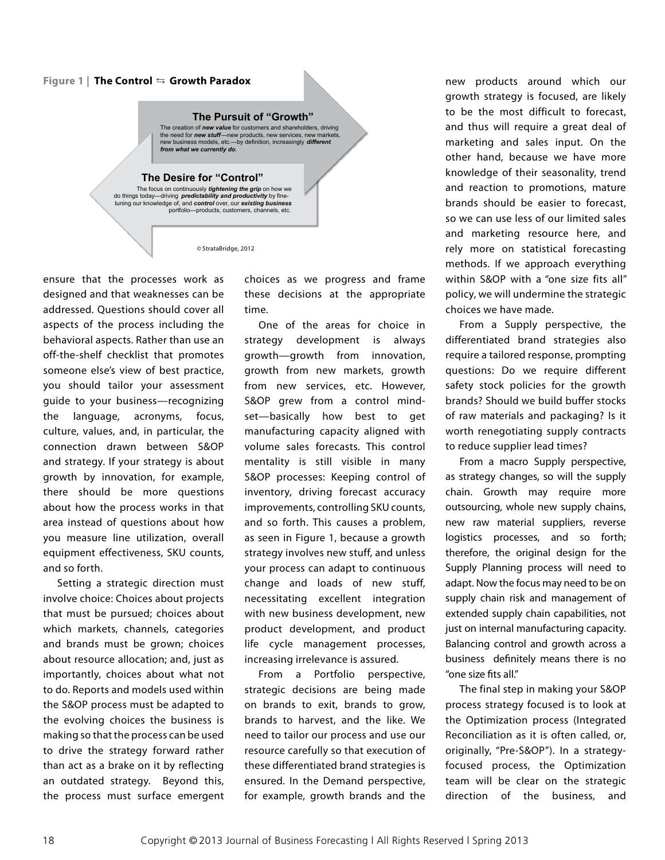## Figure 1 | **The Control ⇆ Growth Paradox**

## **The Pursuit of "Growth"**

The creation of *new value* for customers and shareholders, driving the need for *new stuff*—new products, new services, new markets, new business models, etc.—by definition, increasingly *different from what we currently do. called and shareholders* and shareholders and shareholders and shareholders, driving and shareholders and shareholders, driving and shareholders, driving and shareholders, driving and shar

## **The Desire for "Control"**

the need for *new stuff*—new products, new services, new markets, new business models, etc.—by definition, increasingly *different* 

Figure 1 | The Control ⇆ Growth Paradox…

The focus on continuously *tightening the grip* on how we<br>do things today—driving *predictability and productivity* by fine-<br>tuning our knowledge of, and *control* over, our existing business do things to things to things to thing products, customers, channels, etc.

portfolio—products, customers, channels, etc.

tuning our knowledge of, and *control* over, our *existing business* 

©StrataBridge, 2012

ensure that the processes work as designed and that weaknesses can be addressed. Questions should cover all aspects of the process including the behavioral aspects. Rather than use an off-the-shelf checklist that promotes someone else's view of best practice, you should tailor your assessment guide to your business—recognizing the language, acronyms, focus, culture, values, and, in particular, the connection drawn between S&OP and strategy. If your strategy is about growth by innovation, for example, there should be more questions about how the process works in that area instead of questions about how you measure line utilization, overall equipment effectiveness, SKU counts, and so forth.

Setting a strategic direction must involve choice: Choices about projects that must be pursued; choices about which markets, channels, categories and brands must be grown; choices about resource allocation; and, just as importantly, choices about what not to do. Reports and models used within the S&OP process must be adapted to the evolving choices the business is making so that the process can be used to drive the strategy forward rather than act as a brake on it by reflecting an outdated strategy. Beyond this, the process must surface emergent choices as we progress and frame these decisions at the appropriate time.

One of the areas for choice in strategy development is always growth—growth from innovation, growth from new markets, growth from new services, etc. However, S&OP grew from a control mindset—basically how best to get manufacturing capacity aligned with volume sales forecasts. This control mentality is still visible in many S&OP processes: Keeping control of inventory, driving forecast accuracy improvements, controlling SKU counts, and so forth. This causes a problem, as seen in Figure 1, because a growth strategy involves new stuff, and unless your process can adapt to continuous change and loads of new stuff, necessitating excellent integration with new business development, new product development, and product life cycle management processes, increasing irrelevance is assured.

From a Portfolio perspective, strategic decisions are being made on brands to exit, brands to grow, brands to harvest, and the like. We need to tailor our process and use our resource carefully so that execution of these differentiated brand strategies is ensured. In the Demand perspective, for example, growth brands and the new products around which our growth strategy is focused, are likely to be the most difficult to forecast, and thus will require a great deal of marketing and sales input. On the other hand, because we have more knowledge of their seasonality, trend and reaction to promotions, mature brands should be easier to forecast, so we can use less of our limited sales and marketing resource here, and rely more on statistical forecasting methods. If we approach everything within S&OP with a "one size fits all" policy, we will undermine the strategic choices we have made.

From a Supply perspective, the differentiated brand strategies also require a tailored response, prompting questions: Do we require different safety stock policies for the growth brands? Should we build buffer stocks of raw materials and packaging? Is it worth renegotiating supply contracts to reduce supplier lead times?

From a macro Supply perspective, as strategy changes, so will the supply chain. Growth may require more outsourcing, whole new supply chains, new raw material suppliers, reverse logistics processes, and so forth; therefore, the original design for the Supply Planning process will need to adapt. Now the focus may need to be on supply chain risk and management of extended supply chain capabilities, not just on internal manufacturing capacity. Balancing control and growth across a business definitely means there is no "one size fits all."

The final step in making your S&OP process strategy focused is to look at the Optimization process (Integrated Reconciliation as it is often called, or, originally, "Pre-S&OP"). In a strategyfocused process, the Optimization team will be clear on the strategic direction of the business, and